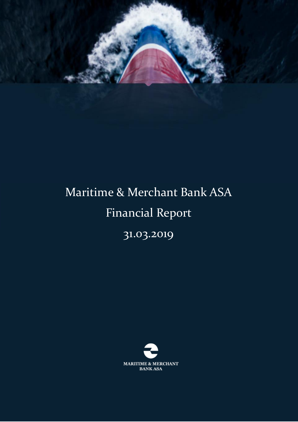

# Maritime & Merchant Bank ASA Financial Report

31.03.2019

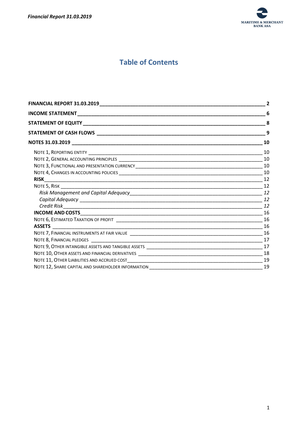

# **Table of Contents**

| 6  |
|----|
| 8  |
| 9  |
| 10 |
| 10 |
|    |
|    |
|    |
|    |
|    |
|    |
|    |
|    |
| 16 |
|    |
| 16 |
|    |
| 17 |
|    |
|    |
|    |
| 19 |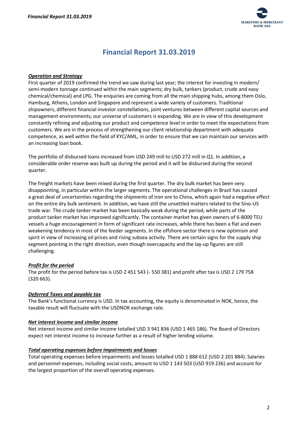

# **Financial Report 31.03.2019**

#### <span id="page-2-0"></span>*Operation and Strategy*

First quarter of 2019 confirmed the trend we saw during last year; the interest for investing in modern/ semi-modern tonnage continued within the main segments; dry bulk, tankers (product, crude and easy chemical/chemical) and LPG. The enquiries are coming from all the main shipping hubs, among them Oslo, Hamburg, Athens, London and Singapore and represent a wide variety of customers. Traditional shipowners, different financial investor constellations, joint ventures between different capital sources and management environments; our universe of customers is expanding. We are in view of this development constantly refining and adjusting our product and competence level in order to meet the expectations from customers. We are in the process of strengthening our client relationship department with adequate competence, as well within the field of KYC/AML, in order to ensure that we can maintain our services with an increasing loan book.

The portfolio of disbursed loans increased from USD 249 mill to USD 272 mill in Q1. In addition, a considerable order reserve was built up during the period and it will be disbursed during the second quarter.

The freight markets have been mixed during the first quarter. The dry bulk market has been very disappointing, in particular within the larger segments. The operational challenges in Brazil has caused a great deal of uncertainties regarding the shipments of iron ore to China, which again had a negative effect on the entire dry bulk sentiment. In addition, we have still the unsettled matters related to the Sino-US trade war. The crude tanker market has been basically weak during the period, while parts of the product tanker market has improved significantly. The container market has given owners of 6-8000 TEU vessels a huge encouragement in form of significant rate increases, while there has been a flat and even weakening tendency in most of the feeder segments. In the offshore sector there is new optimism and spirit in view of increasing oil prices and rising subsea activity. There are certain signs for the supply ship segment pointing in the right direction, even though overcapacity and the lay-up figures are still challenging.

#### *Profit for the period*

The profit for the period before tax is USD 2 451 543 (- 550 381) and profit after tax is USD 2 179 758 (320 663).

#### *Deferred Taxes and payable tax*

The Bank's functional currency is USD. In tax accounting, the equity is denominated in NOK, hence, the taxable result will fluctuate with the USDNOK exchange rate.

#### *Net interest income and similar income*

Net interest income and similar income totalled USD 3 941 836 (USD 1 465 186). The Board of Directors expect net interest income to increase further as a result of higher lending volume.

#### *Total operating expenses before impairments and losses*

Total operating expenses before impairments and losses totalled USD 1 888 612 (USD 2 201 884). Salaries and personnel expenses, including social costs, amount to USD 1 143 503 (USD 919 236) and account for the largest proportion of the overall operating expenses.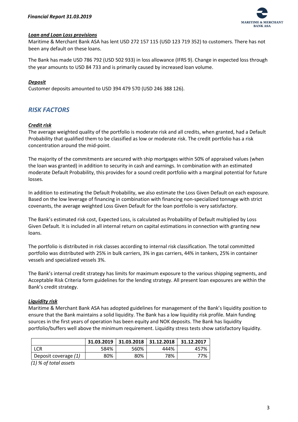

#### *Loan and Loan Loss provisions*

Maritime & Merchant Bank ASA has lent USD 272 157 115 (USD 123 719 352) to customers. There has not been any default on these loans.

The Bank has made USD 786 792 (USD 502 933) in loss allowance (IFRS 9). Change in expected loss through the year amounts to USD 84 733 and is primarily caused by increased loan volume.

#### *Deposit*

Customer deposits amounted to USD 394 479 570 (USD 246 388 126).

## *RISK FACTORS*

#### *Credit risk*

The average weighted quality of the portfolio is moderate risk and all credits, when granted, had a Default Probability that qualified them to be classified as low or moderate risk. The credit portfolio has a risk concentration around the mid-point.

The majority of the commitments are secured with ship mortgages within 50% of appraised values (when the loan was granted) in addition to security in cash and earnings. In combination with an estimated moderate Default Probability, this provides for a sound credit portfolio with a marginal potential for future losses.

In addition to estimating the Default Probability, we also estimate the Loss Given Default on each exposure. Based on the low leverage of financing in combination with financing non-specialized tonnage with strict covenants, the average weighted Loss Given Default for the loan portfolio is very satisfactory.

The Bank's estimated risk cost, Expected Loss, is calculated as Probability of Default multiplied by Loss Given Default. It is included in all internal return on capital estimations in connection with granting new loans.

The portfolio is distributed in risk classes according to internal risk classification. The total committed portfolio was distributed with 25% in bulk carriers, 3% in gas carriers, 44% in tankers, 25% in container vessels and specialized vessels 3%.

The Bank's internal credit strategy has limits for maximum exposure to the various shipping segments, and Acceptable Risk Criteria form guidelines for the lending strategy. All present loan exposures are within the Bank's credit strategy.

#### *Liquidity risk*

Maritime & Merchant Bank ASA has adopted guidelines for management of the Bank's liquidity position to ensure that the Bank maintains a solid liquidity. The Bank has a low liquidity risk profile. Main funding sources in the first years of operation has been equity and NOK deposits. The Bank has liquidity portfolio/buffers well above the minimum requirement. Liquidity stress tests show satisfactory liquidity.

|                      | 31.03.2019 | 31.03.2018 | 31.12.2018 | 31.12.2017 |
|----------------------|------------|------------|------------|------------|
| LCR                  | 584%       | 560%       | 444%       | 457%       |
| Deposit coverage (1) | 80%        | 80%        | 78%        | 77%        |

 *(1) % of total assets*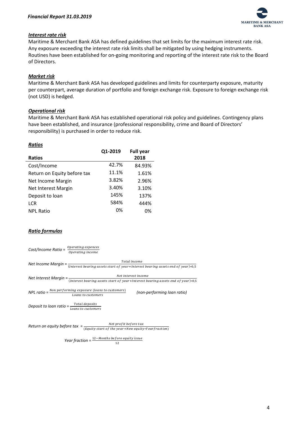

#### *Interest rate risk*

Maritime & Merchant Bank ASA has defined guidelines that set limits for the maximum interest rate risk. Any exposure exceeding the interest rate risk limits shall be mitigated by using hedging instruments. Routines have been established for on-going monitoring and reporting of the interest rate risk to the Board of Directors.

#### *Market risk*

Maritime & Merchant Bank ASA has developed guidelines and limits for counterparty exposure, maturity per counterpart, average duration of portfolio and foreign exchange risk. Exposure to foreign exchange risk (not USD) is hedged.

#### *Operational risk*

Maritime & Merchant Bank ASA has established operational risk policy and guidelines. Contingency plans have been established, and insurance (professional responsibility, crime and Board of Directors' responsibility) is purchased in order to reduce risk.

#### *Ratios*

|                             | Q1-2019 | <b>Full year</b> |
|-----------------------------|---------|------------------|
| <b>Ratios</b>               |         | 2018             |
| Cost/Income                 | 42.7%   | 84.93%           |
| Return on Equity before tax | 11.1%   | 1.61%            |
| Net Income Margin           | 3.82%   | 2.96%            |
| Net Interest Margin         | 3.40%   | 3.10%            |
| Deposit to loan             | 145%    | 137%             |
| <b>LCR</b>                  | 584%    | 444%             |
| <b>NPL Ratio</b>            | 0%      | 0%               |

#### *Ratio formulas*

| Cost/Income Ratio =                                 | $\label{eq:operating} Operating\,express$<br>Operating income                                                                                     |                                                                                                                 |
|-----------------------------------------------------|---------------------------------------------------------------------------------------------------------------------------------------------------|-----------------------------------------------------------------------------------------------------------------|
|                                                     | Net Income Margin = $\frac{10.00 \text{ m}}{(Interest bearing assets start of year+Interest bearing assets end of year)*0.5}$                     | Total income                                                                                                    |
|                                                     | Net Interest Margin = $\frac{N}{(Interest \, bearing \, assets \, start \, of \, year + Interest \, bearing \, assets \, end \, of \, year)*0.5}$ | Net interest income                                                                                             |
|                                                     | <b>NPL ratio</b> = $\frac{Non\,performing\,exposure\,(loans\ to\ customers)}{Loans\ to\ customers}$                                               | (non-performing loan ratio)                                                                                     |
| Deposit to loan ratio = $\frac{Total\ deposits}{1}$ | Loans to customers                                                                                                                                |                                                                                                                 |
|                                                     | Net profit before tax<br>Return on equity before tax $=$ $\frac{1}{2}$                                                                            | the contract of the contract of the contract of the contract of the contract of the contract of the contract of |

*Return on equity before tax* =  $\label{thm:main} (Equity\ start\ of\ the\ year\texttt{+}New\ equity\texttt{*}Yearfraction)$ 

> *Year fraction* =  $\frac{12 - \text{Monthly before equity issue}}{12}$ 12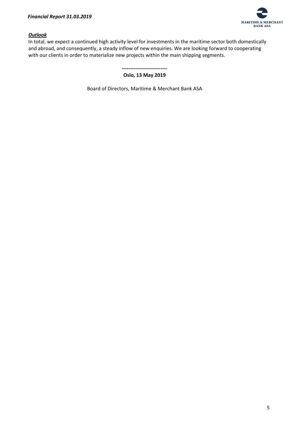

#### *Outlook*

In total, we expect a continued high activity level for investments in the maritime sector both domestically and abroad, and consequently, a steady inflow of new enquiries. We are looking forward to cooperating with our clients in order to materialize new projects within the main shipping segments.

#### **--------------------------- Oslo, 13 May 2019**

Board of Directors, Maritime & Merchant Bank ASA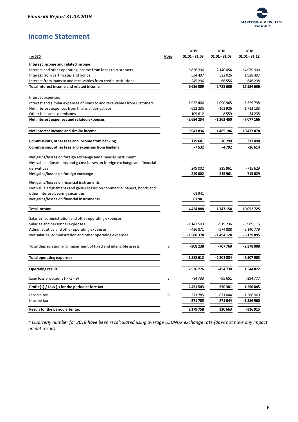

## <span id="page-6-0"></span>**Income Statement**

|                                                                                         |      | 2019                    | 2018                  | 2018                  |
|-----------------------------------------------------------------------------------------|------|-------------------------|-----------------------|-----------------------|
| <u>- In USD</u>                                                                         | Note | $01.01 - 31.03$         | $01.01 - 31.03$       | $01.01 - 31.12$       |
| Interest income and related income                                                      |      |                         |                       |                       |
| Interest and other operating income from loans to customers                             |      | 5 856 296               | 2 140 054             | 14 979 900            |
| Interest from certificates and bonds                                                    |      | 534 497                 | 522026                | 1928497               |
| Interest from loans to and receivables from credit institutions                         |      | 245 296                 | 66 556                | 646 238               |
| Total interest income and related income                                                |      | 6636089                 | 2728636               | 17 554 636            |
|                                                                                         |      |                         |                       |                       |
| Interest expenses                                                                       |      |                         |                       |                       |
| Interest and similar expenses of loans to and receivables from customers                |      | $-1932406$              | $-1090965$            | -5 329 798            |
| Net interest expenses from financial derivatives<br>Other fees and commisions           |      | $-652235$               | $-163926$             | $-1713133$            |
| Net interest expenses and related expenses                                              |      | $-109612$<br>-2 694 254 | $-8559$<br>-1 263 450 | -34 235<br>-7 077 166 |
|                                                                                         |      |                         |                       |                       |
| Net interest income and similar income                                                  |      | 3941836                 | 1465186               | 10 477 470            |
| Commissions, other fees and income from banking                                         |      | 179641                  | 70 799                | 317498                |
| Commissions, other fees and expenses from banking                                       |      | $-7532$                 | -4792                 | $-26614$              |
|                                                                                         |      |                         |                       |                       |
| Net gains/losses on foreign exchange and financial instrument                           |      |                         |                       |                       |
| Net value adjustments and gains/losses on foreign exchange and financial<br>derivatives |      | 249 002                 | 215 961               | $-715629$             |
| Net gains/losses on foreign exchange                                                    |      | 249 002                 | 215 961               | -715 629              |
|                                                                                         |      |                         |                       |                       |
| Net gains/losses on financial instruments                                               |      |                         |                       |                       |
| Net value adjustments and gains/ losses on commercial papers, bonds and                 |      |                         |                       |                       |
| other interest-bearing securities                                                       |      | 61941                   |                       |                       |
| Net gains/losses on financial instruments                                               |      | 61941                   |                       |                       |
| <b>Total income</b>                                                                     |      | 4424888                 | 1747154               | 10 052 725            |
| Salaries, administration and other operating expenses                                   |      |                         |                       |                       |
| Salaries and personnel expenses                                                         |      | $-1$ 143 503            | $-919236$             | $-3989116$            |
| Administrative and other operating expenses                                             |      | -436 871                | -574 888              | -2 140 779            |
| Net salaries, administration and other operating expenses                               |      | -1580374                | -1 494 124            | -6 129 895            |
|                                                                                         |      |                         |                       |                       |
| Total depreciation and impairment of fixed and intangible assets                        | 9    | -308 238                | -707 760              | -2 378 008            |
| <b>Total operating expenses</b>                                                         |      | -1888612                | -2 201 884            | -8 507 903            |
|                                                                                         |      |                         |                       |                       |
| <b>Operating result</b>                                                                 |      | 2536276                 | -454 730              | 1544822               |
| Loan loss provisions (IFRS - 9)                                                         | 5    | $-84733$                | $-95651$              | $-294777$             |
| Profit (+) / Loss (-) for the period before tax                                         |      | 2 451 543               | -550 381              | 1 250 045             |
| Income tax                                                                              | 6    | $-271785$               | 871044                | $-1586960$            |
| Income tax                                                                              |      | -271785                 | 871 044               | $-1586960$            |
| Result for the period after tax                                                         |      | 2 179 758               | 320 663               | -336 915              |

*\* Quarterly number for 2018 have been recalculated using average USDNOK exchange rate (does not have any impact on net result)*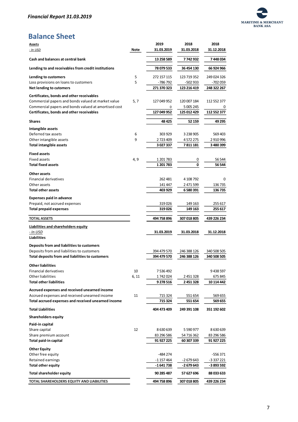

# **Balance Sheet**

| <b>Assets</b>                                                                                  |       | 2019                       | 2018                       | 2018        |
|------------------------------------------------------------------------------------------------|-------|----------------------------|----------------------------|-------------|
| - In USD                                                                                       | Note  | 31.03.2019                 | 31.03.2018                 | 31.12.2018  |
| Cash and balances at central bank                                                              |       | 13 258 589                 | 7742932                    | 7448034     |
| Lending to and receivables from credit institutions                                            |       | 78 079 533                 | 36 454 130                 | 66 924 966  |
| Lending to customers                                                                           | 5     | 272 157 115                | 123 719 352                | 249 024 326 |
| Loss provisions on loans to customers                                                          | 5     | -786 792                   | -502 933                   | -702 059    |
| <b>Net lending to cutomers</b>                                                                 |       | 271 370 323                | 123 216 419                | 248 322 267 |
| Certificates, bonds and other receivables                                                      |       |                            |                            |             |
| Commercial papers and bonds valued at market value                                             | 5, 7  | 127 049 952                | 120 007 184                | 112 552 377 |
| Commercial papers and bonds valued at amortised cost                                           |       | 0                          | 5 005 245                  | 0           |
| Certificates, bonds and other receivables                                                      |       | 127 049 952                | 125 012 429                | 112 552 377 |
|                                                                                                |       |                            |                            |             |
| <b>Shares</b>                                                                                  |       | 48 425                     | 52 159                     | 49 295      |
| Intangible assets                                                                              |       |                            |                            |             |
| Deferred tax assets                                                                            | 6     | 303 929                    | 3 238 905                  | 569 403     |
| Other intangible assets                                                                        | 9     | 2 723 409                  | 4 572 275                  | 2910996     |
| <b>Total intangible assets</b>                                                                 |       | 3027337                    | 7 811 181                  | 3 480 399   |
|                                                                                                |       |                            |                            |             |
| <b>Fixed assets</b>                                                                            |       |                            |                            |             |
| Fixed assets                                                                                   | 4, 9  | 1 201 783                  | 0                          | 56 544      |
| <b>Total fixed assets</b>                                                                      |       | 1 201 783                  | 0                          | 56 544      |
| Other assets                                                                                   |       |                            |                            |             |
| <b>Financial derivatives</b>                                                                   |       | 262 481                    | 4 108 792                  | 0           |
| Other assets                                                                                   |       | 141 447                    | 2 471 599                  | 136 735     |
| <b>Total other assets</b>                                                                      |       | 403 929                    | 6 580 391                  | 136 735     |
| <b>Expenses paid in advance</b>                                                                |       |                            |                            |             |
| Prepaid, not accrued expenses                                                                  |       | 319026                     | 149 163                    | 255 617     |
| <b>Total prepaid expenses</b>                                                                  |       | 319026                     | 149 163                    | 255 617     |
|                                                                                                |       |                            |                            |             |
| <b>TOTAL ASSETS</b>                                                                            |       | 494 758 896                | 307 018 805                | 439 226 234 |
| Liabilities and shareholders equity                                                            |       |                            |                            |             |
| - In USD                                                                                       |       | 31.03.2019                 | 31.03.2018                 | 31.12.2018  |
| <b>Liabilities</b>                                                                             |       |                            |                            |             |
|                                                                                                |       |                            |                            |             |
| Deposits from and liabilities to customers                                                     |       |                            |                            |             |
| Deposits from and liabilities to customers<br>Total deposits from and liabilities to customers |       | 394 479 570<br>394 479 570 | 246 388 126<br>246 388 126 | 340 508 505 |
|                                                                                                |       |                            |                            | 340 508 505 |
| <b>Other liabilities</b>                                                                       |       |                            |                            |             |
| Financial derivatives                                                                          | 10    | 7 536 492                  |                            | 9438597     |
| Other liabilities                                                                              | 6, 11 | 1742024                    | 2 451 328                  | 675 845     |
| <b>Total other liabilities</b>                                                                 |       | 9 278 516                  | 2451328                    | 10 114 442  |
| Accrued expenses and received unearned income                                                  |       |                            |                            |             |
| Accrued expenses and received unearned income                                                  | 11    | 715 324                    | 551 654                    | 569 655     |
| Total accrued expenses and received unearned income                                            |       | 715 324                    | 551 654                    | 569 655     |
| <b>Total Liabilities</b>                                                                       |       | 404 473 409                | 249 391 108                | 351 192 602 |
| <b>Shareholders equity</b>                                                                     |       |                            |                            |             |
| Paid-in capital                                                                                |       |                            |                            |             |
|                                                                                                |       |                            |                            |             |
|                                                                                                |       |                            |                            |             |
| Share capital                                                                                  | 12    | 8 630 639                  | 5 590 977                  | 8 630 639   |
| Share premium account                                                                          |       | 83 296 586                 | 54 716 362                 | 83 296 586  |
| Total paid-in capital                                                                          |       | 91 927 225                 | 60 307 339                 | 91 927 225  |
| <b>Other Equity</b>                                                                            |       |                            |                            |             |
| Other free equity                                                                              |       | -484 274                   |                            | -556 371    |
| Retained earnings                                                                              |       | -1 157 464                 | -2 679 643                 | -3 337 221  |
| <b>Total other equity</b>                                                                      |       | -1 641 738                 | -2 679 643                 | -3 893 592  |
| <b>Total shareholder equity</b>                                                                |       | 90 285 487                 | 57 627 696                 | 88 033 633  |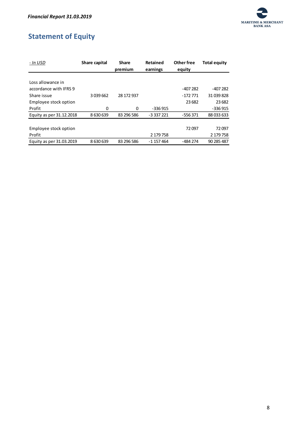

# <span id="page-8-0"></span>**Statement of Equity**

| - In USD                 | Share capital | <b>Share</b> | <b>Retained</b> | Other free | <b>Total equity</b> |
|--------------------------|---------------|--------------|-----------------|------------|---------------------|
|                          |               | premium      | earnings        | equity     |                     |
|                          |               |              |                 |            |                     |
| Loss allowance in        |               |              |                 |            |                     |
| accordance with IFRS 9   |               |              |                 | $-407282$  | -407 282            |
| Share issue              | 3 0 39 6 62   | 28 172 937   |                 | $-172771$  | 31 039 828          |
| Employee stock option    |               |              |                 | 23 682     | 23 682              |
| Profit                   | 0             | 0            | $-336915$       |            | $-336915$           |
| Equity as per 31.12.2018 | 8630639       | 83 296 586   | -3 337 221      | $-556371$  | 88 033 633          |
|                          |               |              |                 |            |                     |
| Employee stock option    |               |              |                 | 72097      | 72097               |
| Profit                   |               |              | 2 179 758       |            | 2 179 758           |
| Equity as per 31.03.2019 | 8630639       | 83 296 586   | $-1157464$      | -484 274   | 90 285 487          |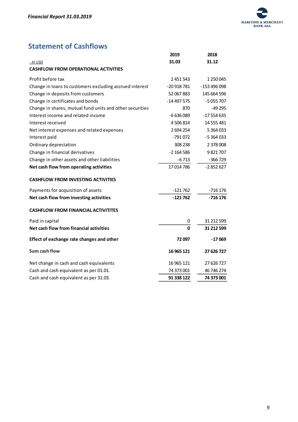

# <span id="page-9-0"></span>**Statement of Cashflows**

|                                                          | 2019         | 2018          |
|----------------------------------------------------------|--------------|---------------|
| <u>- In USD</u>                                          | 31.03        | 31.12         |
| <b>CASHFLOW FROM OPERATIONAL ACTIVITIES</b>              |              |               |
| Profit before tax                                        | 2 451 543    | 1 250 045     |
| Change in loans to customers excluding accrued interest  | $-20918781$  | $-153496098$  |
| Change in deposits from customers                        | 52 067 883   | 145 664 596   |
| Change in certificates and bonds                         | $-14497575$  | $-5055707$    |
| Change in shares, mutual fund units and other securities | 870          | -49 295       |
| Interest income and related income                       | $-6636089$   | $-17554635$   |
| Interest received                                        | 4 506 814    | 14 555 481    |
| Net interest expenses and related expenses               | 2694254      | 5 3 6 4 0 3 3 |
| Interest paid                                            | $-791072$    | $-5364033$    |
| Ordinary depreciation                                    | 308 238      | 2 378 008     |
| Change in financial derivatives                          | $-2164586$   | 9821707       |
| Change in other assets and other liabilities             | $-6713$      | $-366729$     |
| Net cash flow from operating activities                  | 17 014 786   | $-2852627$    |
| <b>CASHFLOW FROM INVESTING ACTIVITIES</b>                |              |               |
| Payments for acquisition of assets                       | $-121762$    | $-716$ 176    |
| Net cash flow from investing activities                  | $-121762$    | $-716176$     |
| <b>CASHFLOW FROM FINANCIAL ACTIVITITES</b>               |              |               |
| Paid in capital                                          | 0            | 31 212 599    |
| Net cash flow from financial activities                  | $\mathbf{0}$ | 31 212 599    |
| Effect of exchange rate changes and other                | 72097        | $-17069$      |
| Sum cash flow                                            | 16 965 121   | 27 626 727    |
| Net change in cash and cash equivalents                  | 16 965 121   | 27 626 727    |
| Cash and cash equivalent as per 01.01.                   | 74 373 001   | 46 746 274    |
| Cash and cash equivalent as per 31.03.                   | 91 338 122   | 74 373 001    |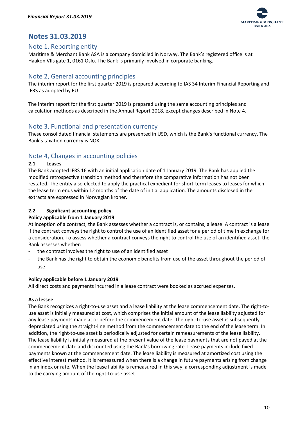

## <span id="page-10-0"></span>**Notes 31.03.2019**

## <span id="page-10-1"></span>Note 1, Reporting entity

Maritime & Merchant Bank ASA is a company domiciled in Norway. The Bank's registered office is at Haakon VIIs gate 1, 0161 Oslo. The Bank is primarily involved in corporate banking.

## <span id="page-10-2"></span>Note 2, General accounting principles

The interim report for the first quarter 2019 is prepared according to IAS 34 Interim Financial Reporting and IFRS as adopted by EU.

The interim report for the first quarter 2019 is prepared using the same accounting principles and calculation methods as described in the Annual Report 2018, except changes described in Note 4.

## <span id="page-10-3"></span>Note 3, Functional and presentation currency

These consolidated financial statements are presented in USD, which is the Bank's functional currency. The Bank's taxation currency is NOK.

## <span id="page-10-4"></span>Note 4, Changes in accounting policies

#### **2.1 Leases**

The Bank adopted IFRS 16 with an initial application date of 1 January 2019. The Bank has applied the modified retrospective transition method and therefore the comparative information has not been restated. The entity also elected to apply the practical expedient for short-term leases to leases for which the lease term ends within 12 months of the date of initial application. The amounts disclosed in the extracts are expressed in Norwegian kroner.

#### **2.2 Significant accounting policy**

#### **Policy applicable from 1 January 2019**

At inception of a contract, the Bank assesses whether a contract is, or contains, a lease. A contract is a lease if the contract conveys the right to control the use of an identified asset for a period of time in exchange for a consideration. To assess whether a contract conveys the right to control the use of an identified asset, the Bank assesses whether:

- the contract involves the right to use of an identified asset
- the Bank has the right to obtain the economic benefits from use of the asset throughout the period of use

#### **Policy applicable before 1 January 2019**

All direct costs and payments incurred in a lease contract were booked as accrued expenses.

#### **As a lessee**

The Bank recognizes a right-to-use asset and a lease liability at the lease commencement date. The right-touse asset is initially measured at cost, which comprises the initial amount of the lease liability adjusted for any lease payments made at or before the commencement date. The right-to-use asset is subsequently depreciated using the straight-line method from the commencement date to the end of the lease term. In addition, the right-to-use asset is periodically adjusted for certain remeasurements of the lease liability. The lease liability is initially measured at the present value of the lease payments that are not payed at the commencement date and discounted using the Bank's borrowing rate. Lease payments include fixed payments known at the commencement date. The lease liability is measured at amortized cost using the effective interest method. It is remeasured when there is a change in future payments arising from change in an index or rate. When the lease liability is remeasured in this way, a corresponding adjustment is made to the carrying amount of the right-to-use asset.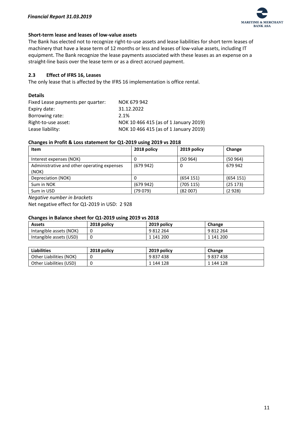

#### **Short-term lease and leases of low-value assets**

The Bank has elected not to recognize right-to-use assets and lease liabilities for short term leases of machinery that have a lease term of 12 months or less and leases of low-value assets, including IT equipment. The Bank recognize the lease payments associated with these leases as an expense on a straight-line basis over the lease term or as a direct accrued payment.

#### **2.3 Effect of IFRS 16, Leases**

The only lease that is affected by the IFRS 16 implementation is office rental.

#### **Details**

| Fixed Lease payments per quarter: | NOK 679 942                           |
|-----------------------------------|---------------------------------------|
| Expiry date:                      | 31.12.2022                            |
| Borrowing rate:                   | 2.1%                                  |
| Right-to-use asset:               | NOK 10 466 415 (as of 1 January 2019) |
| Lease liability:                  | NOK 10 466 415 (as of 1 January 2019) |

#### **Changes in Profit & Loss statement for Q1-2019 using 2019 vs 2018**

| Item                                                 | 2018 policy | 2019 policy | Change    |
|------------------------------------------------------|-------------|-------------|-----------|
| Interest expenses (NOK)                              |             | (50 964)    | (50964)   |
| Administrative and other operating expenses<br>(NOK) | (679942)    | 0           | 679 942   |
| Depreciation (NOK)                                   |             | (654 151)   | (654 151) |
| Sum in NOK                                           | (679942)    | (705 115)   | (25 173)  |
| Sum in USD                                           | (79079)     | (82007)     | (2928)    |

*Negative number in brackets*

Net negative effect for Q1-2019 in USD: 2 928

#### **Changes in Balance sheet for Q1-2019 using 2019 vs 2018**

| <b>Assets</b>           | 2018 policy | 2019 policy | Change    |
|-------------------------|-------------|-------------|-----------|
| Intangible assets (NOK) |             | 9812264     | 9812264   |
| Intangible assets (USD) |             | 1 141 200   | 1 141 200 |

| <b>Liabilities</b>      | 2018 policy | 2019 policy | Change    |
|-------------------------|-------------|-------------|-----------|
| Other Liabilities (NOK) |             | 9837438     | 9 837 438 |
| Other Liabilities (USD) |             | 1 144 128   | 1 144 128 |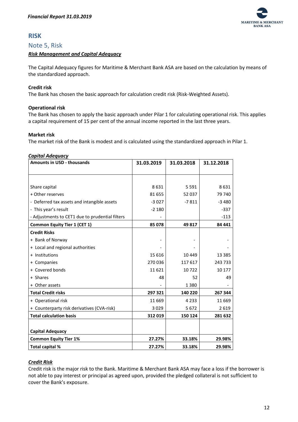

## <span id="page-12-0"></span>**RISK**

#### <span id="page-12-1"></span>Note 5, Risk

#### <span id="page-12-2"></span>*Risk Management and Capital Adequacy*

The Capital Adequacy figures for Maritime & Merchant Bank ASA are based on the calculation by means of the standardized approach.

#### **Credit risk**

The Bank has chosen the basic approach for calculation credit risk (Risk-Weighted Assets).

#### **Operational risk**

The Bank has chosen to apply the basic approach under Pilar 1 for calculating operational risk. This applies a capital requirement of 15 per cent of the annual income reported in the last three years.

#### **Market risk**

The market risk of the Bank is modest and is calculated using the standardized approach in Pilar 1.

#### <span id="page-12-3"></span>*Capital Adequacy*

| <b>Amounts in USD - thousands</b>               | 31.03.2019 | 31.03.2018 | 31.12.2018 |
|-------------------------------------------------|------------|------------|------------|
|                                                 |            |            |            |
|                                                 |            |            |            |
| Share capital                                   | 8631       | 5 5 9 1    | 8631       |
| + Other reserves                                | 81 655     | 52 037     | 79 740     |
| - Deferred tax assets and intangible assets     | $-3027$    | $-7811$    | $-3480$    |
| - This year's result                            | $-2180$    |            | $-337$     |
| - Adjustments to CET1 due to prudential filters |            |            | $-113$     |
| <b>Common Equity Tier 1 (CET 1)</b>             | 85 078     | 49817      | 84 441     |
| <b>Credit Risks</b>                             |            |            |            |
| + Bank of Norway                                |            |            |            |
| + Local and regional authorities                |            |            |            |
| + Institutions                                  | 15 6 16    | 10 4 49    | 13 3 8 5   |
| + Companies                                     | 270 036    | 117 617    | 243 733    |
| + Covered bonds                                 | 11 621     | 10722      | 10 177     |
| + Shares                                        | 48         | 52         | 49         |
| + Other assets                                  |            | 1 3 8 0    |            |
| <b>Total Credit risks</b>                       | 297 321    | 140 220    | 267 344    |
| + Operational risk                              | 11 669     | 4 2 3 3    | 11 669     |
| + Counterparty risk derivatives (CVA-risk)      | 3029       | 5672       | 2 6 1 9    |
| <b>Total calculation basis</b>                  | 312 019    | 150 124    | 281 632    |
|                                                 |            |            |            |
| <b>Capital Adequacy</b>                         |            |            |            |
| <b>Common Equity Tier 1%</b>                    | 27.27%     | 33.18%     | 29.98%     |
| Total capital %                                 | 27.27%     | 33.18%     | 29.98%     |

#### <span id="page-12-4"></span>*Credit Risk*

Credit risk is the major risk to the Bank. Maritime & Merchant Bank ASA may face a loss if the borrower is not able to pay interest or principal as agreed upon, provided the pledged collateral is not sufficient to cover the Bank's exposure.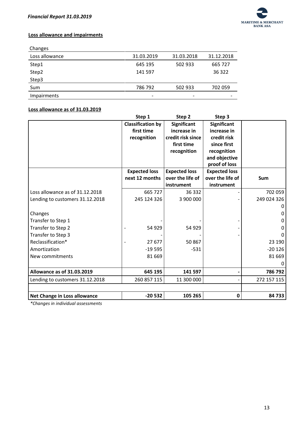

## **Loss allowance and impairments**

| Changes            |            |            |            |
|--------------------|------------|------------|------------|
| Loss allowance     | 31.03.2019 | 31.03.2018 | 31.12.2018 |
| Step1              | 645 195    | 502 933    | 665 727    |
| Step2              | 141 597    |            | 36 322     |
| Step3              |            |            |            |
| Sum                | 786 792    | 502 933    | 702 059    |
| <b>Impairments</b> | -          | -          |            |

## **Loss allowance as of 31.03.2019**

|                                 | Step 1                   | Step 2               | Step 3               |             |
|---------------------------------|--------------------------|----------------------|----------------------|-------------|
|                                 | <b>Classification by</b> | Significant          | <b>Significant</b>   |             |
|                                 | first time               | increase in          | increase in          |             |
|                                 | recognition              | credit risk since    | credit risk          |             |
|                                 |                          | first time           | since first          |             |
|                                 |                          | recognition          | recognition          |             |
|                                 |                          |                      | and objective        |             |
|                                 |                          |                      | proof of loss        |             |
|                                 | <b>Expected loss</b>     | <b>Expected loss</b> | <b>Expected loss</b> |             |
|                                 | next 12 months           | over the life of     | over the life of     | Sum         |
|                                 |                          | instrument           | instrument           |             |
| Loss allowance as of 31.12.2018 | 665 727                  | 36 332               |                      | 702 059     |
| Lending to customers 31.12.2018 | 245 124 326              | 3 900 000            |                      | 249 024 326 |
|                                 |                          |                      |                      | 0           |
| Changes                         |                          |                      |                      | 0           |
| Transfer to Step 1              |                          |                      |                      | 0           |
| Transfer to Step 2              | 54 929                   | 54 929               |                      | $\mathbf 0$ |
| Transfer to Step 3              |                          |                      |                      | $\Omega$    |
| Reclassification*               | 27 677                   | 50 867               |                      | 23 190      |
| Amortization                    | $-19595$                 | $-531$               |                      | $-20126$    |
| New commitments                 | 81 669                   |                      |                      | 81 669      |
|                                 |                          |                      |                      | 0           |
| Allowance as of 31.03.2019      | 645 195                  | 141 597              |                      | 786 792     |
| Lending to customers 31.12.2018 | 260 857 115              | 11 300 000           |                      | 272 157 115 |
|                                 |                          |                      |                      |             |
| Net Change in Loss allowance    | $-20532$                 | 105 265              | $\mathbf 0$          | 84733       |

*\*Changes in individual assessments*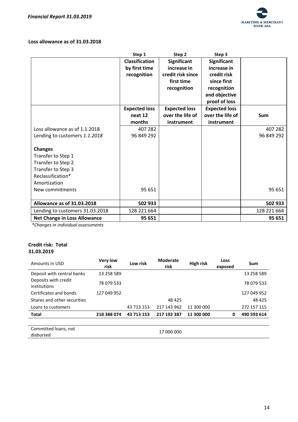

#### **Loss allowance as of 31.03.2018**

|                                     | Step 1                | Step 2               | Step 3               |             |
|-------------------------------------|-----------------------|----------------------|----------------------|-------------|
|                                     | <b>Classification</b> | <b>Significant</b>   | Significant          |             |
|                                     | by first time         | increase in          | increase in          |             |
|                                     | recognition           | credit risk since    | credit risk          |             |
|                                     |                       | first time           | since first          |             |
|                                     |                       | recognition          | recognition          |             |
|                                     |                       |                      | and objective        |             |
|                                     |                       |                      | proof of loss        |             |
|                                     | <b>Expected loss</b>  | <b>Expected loss</b> | <b>Expected loss</b> |             |
|                                     | next 12               | over the life of     | over the life of     | Sum         |
|                                     | months                | instrument           | instrument           |             |
| Loss allowance as of 1.1.2018       | 407 282               |                      |                      | 407 282     |
| Lending to customers 1.1.2018       | 96 849 292            |                      |                      | 96 849 292  |
|                                     |                       |                      |                      |             |
| <b>Changes</b>                      |                       |                      |                      |             |
| Transfer to Step 1                  |                       |                      |                      |             |
| Transfer to Step 2                  |                       |                      |                      |             |
| Transfer to Step 3                  |                       |                      |                      |             |
| Reclassification*                   |                       |                      |                      |             |
| Amortization                        |                       |                      |                      |             |
| New commitments                     | 95 651                |                      |                      | 95 651      |
|                                     |                       |                      |                      |             |
| <b>Allowance as of 31.03.2018</b>   | 502 933               |                      |                      | 502 933     |
| Lending to customers 31.03.2018     | 128 221 664           |                      |                      | 128 221 664 |
| <b>Net Change in Loss Allowance</b> | 95 651                |                      |                      | 95 651      |

 *\*Changes in individual assessments*

#### **Credit risk: Total 31.03.2019**

| Amounts in USD                       | <b>Very low</b><br>risk | Low risk   | <b>Moderate</b><br>risk | <b>High risk</b> | Loss<br>exposed | <b>Sum</b>  |
|--------------------------------------|-------------------------|------------|-------------------------|------------------|-----------------|-------------|
| Deposit with central banks           | 13 258 589              |            |                         |                  |                 | 13 258 589  |
| Deposits with credit<br>institutions | 78 079 533              |            |                         |                  |                 | 78 079 533  |
| Certificates and bonds               | 127 049 952             |            |                         |                  |                 | 127 049 952 |
| Shares and other securities          |                         |            | 48 425                  |                  |                 | 48 4 25     |
| Loans to customers                   |                         | 43 713 153 | 217 143 962             | 11 300 000       |                 | 272 157 115 |
| <b>Total</b>                         | 218 388 074             | 43 713 153 | 217 192 387             | 11 300 000       | 0               | 490 593 614 |
|                                      |                         |            |                         |                  |                 |             |
| Committed loans, not<br>disbursed    |                         |            | 17 000 000              |                  |                 |             |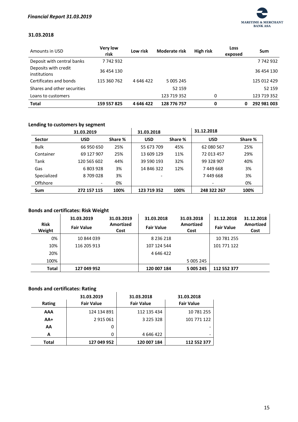

#### **31.03.2018**

| Amounts in USD                       | <b>Very low</b><br>risk | Low risk  | <b>Moderate risk</b> | High risk | Loss<br>exposed | Sum         |
|--------------------------------------|-------------------------|-----------|----------------------|-----------|-----------------|-------------|
| Deposit with central banks           | 7742932                 |           |                      |           |                 | 7742932     |
| Deposits with credit<br>institutions | 36 454 130              |           |                      |           |                 | 36 454 130  |
| Certificates and bonds               | 115 360 762             | 4 646 422 | 5 005 245            |           |                 | 125 012 429 |
| Shares and other securities          |                         |           | 52 159               |           |                 | 52 159      |
| Loans to customers                   |                         |           | 123 719 352          | 0         |                 | 123 719 352 |
| <b>Total</b>                         | 159 557 825             | 4 646 422 | 128 776 757          | 0         | 0               | 292 981 003 |

## **Lending to customers by segment**

|               | 31.03.2019  |         | 31.03.2018               |         | 31.12.2018  |         |
|---------------|-------------|---------|--------------------------|---------|-------------|---------|
| <b>Sector</b> | <b>USD</b>  | Share % | <b>USD</b>               | Share % | <b>USD</b>  | Share % |
| <b>Bulk</b>   | 66 950 650  | 25%     | 55 673 709               | 45%     | 62 080 567  | 25%     |
| Container     | 69 127 907  | 25%     | 13 609 129               | 11%     | 72 013 457  | 29%     |
| Tank          | 120 565 602 | 44%     | 39 590 193               | 32%     | 99 328 907  | 40%     |
| Gas           | 6803928     | 3%      | 14 846 322               | 12%     | 7449668     | 3%      |
| Specialized   | 8709028     | 3%      | $\overline{\phantom{0}}$ |         | 7449668     | 3%      |
| Offshore      |             | 0%      |                          |         |             | 0%      |
| Sum           | 272 157 115 | 100%    | 123 719 352              | 100%    | 248 322 267 | 100%    |

 $\ddot{\phantom{a}}$ 

## **Bonds and certificates: Risk Weight**

| <b>Risk</b><br>Weight | 31.03.2019<br><b>Fair Value</b> | 31.03.2019<br>Amortized<br>Cost | 31.03.2018<br><b>Fair Value</b> | 31.03.2018<br>Amortized<br>Cost | 31.12.2018<br><b>Fair Value</b> | 31.12.2018<br><b>Amortized</b><br>Cost |
|-----------------------|---------------------------------|---------------------------------|---------------------------------|---------------------------------|---------------------------------|----------------------------------------|
| 0%                    | 10 844 039                      |                                 | 8 2 3 6 2 1 8                   |                                 | 10 781 255                      |                                        |
| 10%                   | 116 205 913                     |                                 | 107 124 544                     |                                 | 101 771 122                     |                                        |
| 20%                   |                                 |                                 | 4 646 422                       |                                 |                                 |                                        |
| 100%                  |                                 |                                 |                                 | 5 005 245                       |                                 |                                        |
| <b>Total</b>          | 127 049 952                     |                                 | 120 007 184                     | 5 005 245                       | 112 552 377                     |                                        |

## **Bonds and certificates: Rating**

| Bonus and certincates. Nating |                   |                   |                   |  |  |
|-------------------------------|-------------------|-------------------|-------------------|--|--|
|                               | 31.03.2019        | 31.03.2018        | 31.03.2018        |  |  |
| Rating                        | <b>Fair Value</b> | <b>Fair Value</b> | <b>Fair Value</b> |  |  |
| AAA                           | 124 134 891       | 112 135 434       | 10 781 255        |  |  |
| AA+                           | 2 9 1 5 0 6 1     | 3 2 2 5 3 2 8     | 101 771 122       |  |  |
| AA                            | 0                 |                   |                   |  |  |
| A                             | 0                 | 4 646 422         |                   |  |  |
| Total                         | 127 049 952       | 120 007 184       | 112 552 377       |  |  |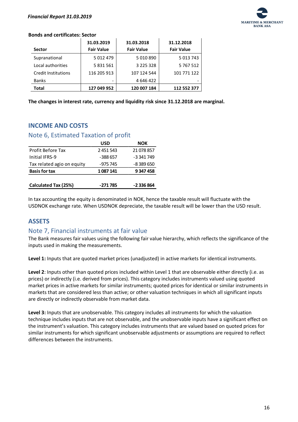

#### **Bonds and certificates: Sector**

| <b>Sector</b>              | 31.03.2019<br><b>Fair Value</b> | 31.03.2018<br><b>Fair Value</b> | 31.12.2018<br><b>Fair Value</b> |
|----------------------------|---------------------------------|---------------------------------|---------------------------------|
| Supranational              | 5 0 1 2 4 7 9                   | 5 010 890                       | 5 013 743                       |
| Local authorities          | 5 8 3 1 5 6 1                   | 3 2 2 5 3 2 8                   | 5 7 6 7 5 1 2                   |
| <b>Credit Institutions</b> | 116 205 913                     | 107 124 544                     | 101 771 122                     |
| <b>Banks</b>               |                                 | 4 646 422                       |                                 |
| <b>Total</b>               | 127 049 952                     | 120 007 184                     | 112 552 377                     |

**The changes in interest rate, currency and liquidity risk since 31.12.2018 are marginal.**

## <span id="page-16-0"></span>**INCOME AND COSTS**

#### <span id="page-16-1"></span>Note 6, Estimated Taxation of profit

|                            | USD       | NOK        |
|----------------------------|-----------|------------|
| Profit Before Tax          | 2451543   | 21 078 857 |
| Initial IFRS-9             | $-388657$ | -3 341 749 |
| Tax related agio on equity | -975 745  | -8 389 650 |
| <b>Basis for tax</b>       | 1087141   | 9347458    |
|                            |           |            |
| Calculated Tax (25%)       | -271 785  | -2 336 864 |

<span id="page-16-2"></span>In tax accounting the equity is denominated in NOK, hence the taxable result will fluctuate with the USDNOK exchange rate. When USDNOK depreciate, the taxable result will be lower than the USD result.

## **ASSETS**

#### <span id="page-16-3"></span>Note 7, Financial instruments at fair value

The Bank measures fair values using the following fair value hierarchy, which reflects the significance of the inputs used in making the measurements.

**Level 1:** Inputs that are quoted market prices (unadjusted) in active markets for identical instruments.

**Level 2**: Inputs other than quoted prices included within Level 1 that are observable either directly (i.e. as prices) or indirectly (i.e. derived from prices). This category includes instruments valued using quoted market prices in active markets for similar instruments; quoted prices for identical or similar instruments in markets that are considered less than active; or other valuation techniques in which all significant inputs are directly or indirectly observable from market data.

**Level 3:** Inputs that are unobservable. This category includes all instruments for which the valuation technique includes inputs that are not observable, and the unobservable inputs have a significant effect on the instrument's valuation. This category includes instruments that are valued based on quoted prices for similar instruments for which significant unobservable adjustments or assumptions are required to reflect differences between the instruments.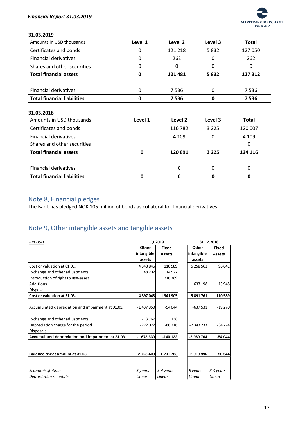

#### **31.03.2019**

| Amounts in USD thousands               | Level 1     | Level 2 | Level 3  | Total   |
|----------------------------------------|-------------|---------|----------|---------|
| Certificates and bonds                 | 0           | 121 218 | 5832     | 127 050 |
| <b>Financial derivatives</b>           | 0           | 262     | $\Omega$ | 262     |
| Shares and other securities            | 0           | 0       | 0        | 0       |
| <b>Total financial assets</b>          | 0           | 121 481 | 5832     | 127 312 |
| <b>Financial derivatives</b>           | 0           | 7536    | 0        | 7536    |
| <b>Total financial liabilities</b>     | 0           | 7536    | 0        | 7536    |
| 31.03.2018<br>Amounts in USD thousands | Level 1     | Level 2 | Level 3  | Total   |
| Certificates and bonds                 |             | 116 782 | 3 2 2 5  | 120 007 |
| <b>Financial derivatives</b>           |             | 4 1 0 9 | 0        | 4 1 0 9 |
| Shares and other securities            |             |         |          | 0       |
| <b>Total financial assets</b>          | $\mathbf 0$ | 120 891 | 3 2 2 5  | 124 116 |
| <b>Financial derivatives</b>           |             | 0       | 0        | 0       |
| <b>Total financial liabilities</b>     | $\mathbf 0$ | 0       | 0        | 0       |

## <span id="page-17-0"></span>Note 8, Financial pledges

The Bank has pledged NOK 105 million of bonds as collateral for financial derivatives.

## <span id="page-17-1"></span>Note 9, Other intangible assets and tangible assets

| - In USD                                          | Q1 2019    |               | 31.12.2018    |               |
|---------------------------------------------------|------------|---------------|---------------|---------------|
|                                                   | Other      | <b>Fixed</b>  | Other         | <b>Fixed</b>  |
|                                                   | intangible | <b>Assets</b> | intangible    | <b>Assets</b> |
|                                                   | assets     |               | assets        |               |
| Cost or valuation at 01.01.                       | 4 348 846  | 110 589       | 5 2 5 8 5 6 2 | 96 641        |
| Exchange and other adjustments                    | 48 202     | 14527         |               |               |
| Introduction of right to use-asset                |            | 1 2 1 6 7 8 9 |               |               |
| Additions                                         |            |               | 633 198       | 13 948        |
| <b>Disposals</b>                                  |            |               |               |               |
| Cost or valuation at 31.03.                       | 4397048    | 1341905       | 5891761       | 110589        |
| Accumulated depreciation and impairment at 01.01. | $-1437850$ | $-54044$      | $-637531$     | $-19270$      |
| Exchange and other adjustments                    | $-13767$   | 138           |               |               |
| Depreciation charge for the period                | $-222022$  | $-86216$      | $-2343233$    | $-34774$      |
| <b>Disposals</b>                                  |            |               |               |               |
| Accumulated depreciation and impairment at 31.03. | -1 673 639 | $-140$ 122    | -2 980 764    | $-54044$      |
| Balance sheet amount at 31.03.                    | 2 723 409  | 1 201 783     | 2 910 996     | 56 544        |
| Economic lifetime                                 | 5 years    | 3-4 years     | 5 years       | 3-4 years     |
| Depreciation schedule                             | Linear     | Linear        | Linear        | Linear        |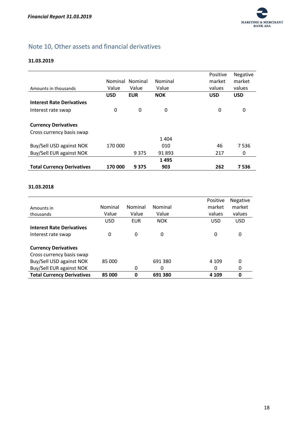

# <span id="page-18-0"></span>Note 10, Other assets and financial derivatives

#### **31.03.2019**

| Amounts in thousands              | <b>Nominal</b><br>Value | Nominal<br>Value | Nominal<br>Value | Negative<br>Positive<br>market<br>market<br>values<br>values |  |
|-----------------------------------|-------------------------|------------------|------------------|--------------------------------------------------------------|--|
|                                   | <b>USD</b>              | <b>EUR</b>       | <b>NOK</b>       | <b>USD</b><br><b>USD</b>                                     |  |
| <b>Interest Rate Derivatives</b>  |                         |                  |                  |                                                              |  |
| Interest rate swap                | 0                       | 0                | 0                | 0<br>0                                                       |  |
|                                   |                         |                  |                  |                                                              |  |
| <b>Currency Derivatives</b>       |                         |                  |                  |                                                              |  |
| Cross currency basis swap         |                         |                  |                  |                                                              |  |
|                                   |                         |                  | 1 4 0 4          |                                                              |  |
| Buy/Sell USD against NOK          | 170 000                 |                  | 010              | 7536<br>46                                                   |  |
| Buy/Sell EUR against NOK          |                         | 9 3 7 5          | 91893            | 217<br>0                                                     |  |
|                                   |                         |                  | 1495             |                                                              |  |
| <b>Total Currency Derivatives</b> | 170 000                 | 9375             | 903              | 262<br>7536                                                  |  |

#### **31.03.2018**

|                                   |            |         |            | Positive   | Negative   |
|-----------------------------------|------------|---------|------------|------------|------------|
| Amounts in                        | Nominal    | Nominal | Nominal    | market     | market     |
| thousands                         | Value      | Value   | Value      | values     | values     |
|                                   | <b>USD</b> | EUR     | <b>NOK</b> | <b>USD</b> | <b>USD</b> |
| <b>Interest Rate Derivatives</b>  |            |         |            |            |            |
| Interest rate swap                | 0          | 0       | 0          | 0          | 0          |
|                                   |            |         |            |            |            |
| <b>Currency Derivatives</b>       |            |         |            |            |            |
| Cross currency basis swap         |            |         |            |            |            |
| Buy/Sell USD against NOK          | 85 000     |         | 691 380    | 4 1 0 9    | 0          |
| Buy/Sell EUR against NOK          |            | 0       | 0          | 0          | 0          |
| <b>Total Currency Derivatives</b> | 85 000     | 0       | 691 380    | 4 1 0 9    | 0          |